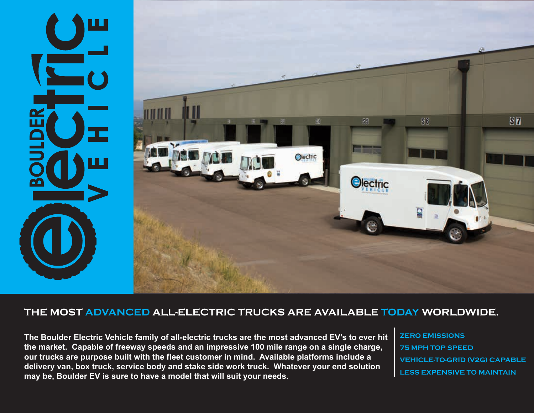

# **THE MOST ADVANCED ALL-ELECTRIC TRUCKS ARE AVAILABLE TODAY WORLDWIDE.**

**The Boulder Electric Vehicle family of all-electric trucks are the most advanced EV's to ever hit the market. Capable of freeway speeds and an impressive 100 mile range on a single charge, our trucks are purpose built with the fleet customer in mind. Available platforms include a delivery van, box truck, service body and stake side work truck. Whatever your end solution may be, Boulder EV is sure to have a model that will suit your needs.** 

**ZERO EMISSIONS 75 MPH TOP SPEED VEHICLE-TO-GRID (V2G) CAPABLE LESS EXPENSIVE TO MAINTAIN**